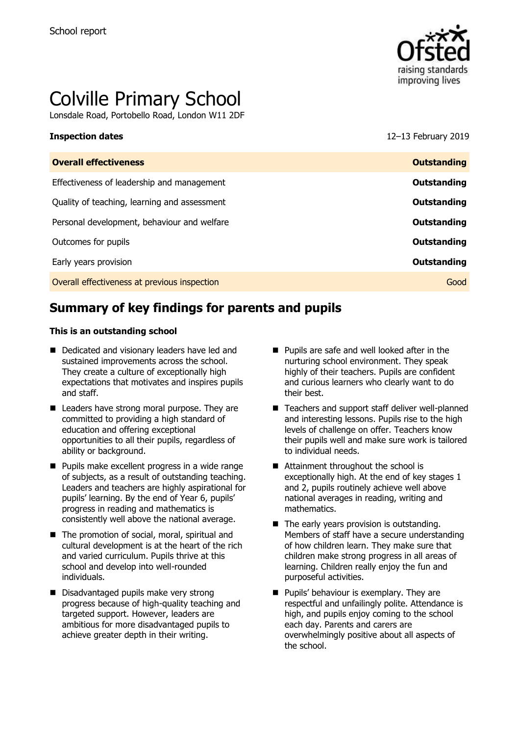

# Colville Primary School

Lonsdale Road, Portobello Road, London W11 2DF

**Inspection dates** 12–13 February 2019

| <b>Overall effectiveness</b>                 | <b>Outstanding</b> |
|----------------------------------------------|--------------------|
| Effectiveness of leadership and management   | Outstanding        |
| Quality of teaching, learning and assessment | Outstanding        |
| Personal development, behaviour and welfare  | Outstanding        |
| Outcomes for pupils                          | Outstanding        |
| Early years provision                        | Outstanding        |
| Overall effectiveness at previous inspection | Good               |
|                                              |                    |

# **Summary of key findings for parents and pupils**

#### **This is an outstanding school**

- Dedicated and visionary leaders have led and sustained improvements across the school. They create a culture of exceptionally high expectations that motivates and inspires pupils and staff.
- Leaders have strong moral purpose. They are committed to providing a high standard of education and offering exceptional opportunities to all their pupils, regardless of ability or background.
- **Pupils make excellent progress in a wide range** of subjects, as a result of outstanding teaching. Leaders and teachers are highly aspirational for pupils' learning. By the end of Year 6, pupils' progress in reading and mathematics is consistently well above the national average.
- The promotion of social, moral, spiritual and cultural development is at the heart of the rich and varied curriculum. Pupils thrive at this school and develop into well-rounded individuals.
- Disadvantaged pupils make very strong progress because of high-quality teaching and targeted support. However, leaders are ambitious for more disadvantaged pupils to achieve greater depth in their writing.
- **Pupils are safe and well looked after in the** nurturing school environment. They speak highly of their teachers. Pupils are confident and curious learners who clearly want to do their best.
- Teachers and support staff deliver well-planned and interesting lessons. Pupils rise to the high levels of challenge on offer. Teachers know their pupils well and make sure work is tailored to individual needs.
- Attainment throughout the school is exceptionally high. At the end of key stages 1 and 2, pupils routinely achieve well above national averages in reading, writing and mathematics.
- $\blacksquare$  The early years provision is outstanding. Members of staff have a secure understanding of how children learn. They make sure that children make strong progress in all areas of learning. Children really enjoy the fun and purposeful activities.
- **Pupils' behaviour is exemplary. They are** respectful and unfailingly polite. Attendance is high, and pupils enjoy coming to the school each day. Parents and carers are overwhelmingly positive about all aspects of the school.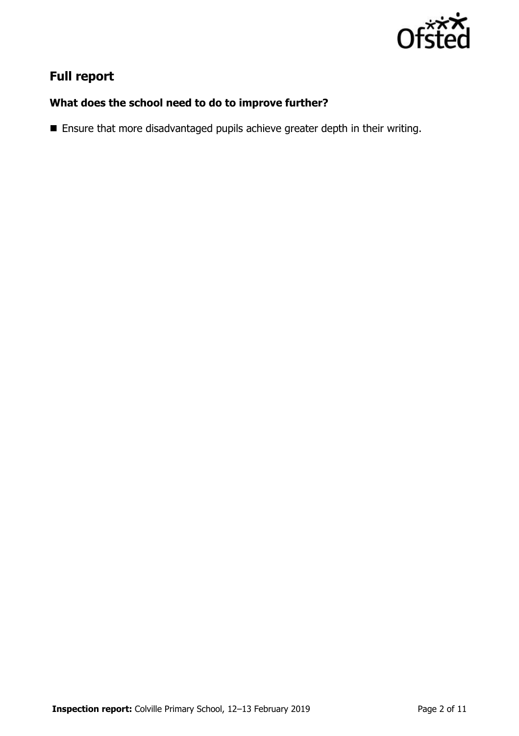

# **Full report**

## **What does the school need to do to improve further?**

Ensure that more disadvantaged pupils achieve greater depth in their writing.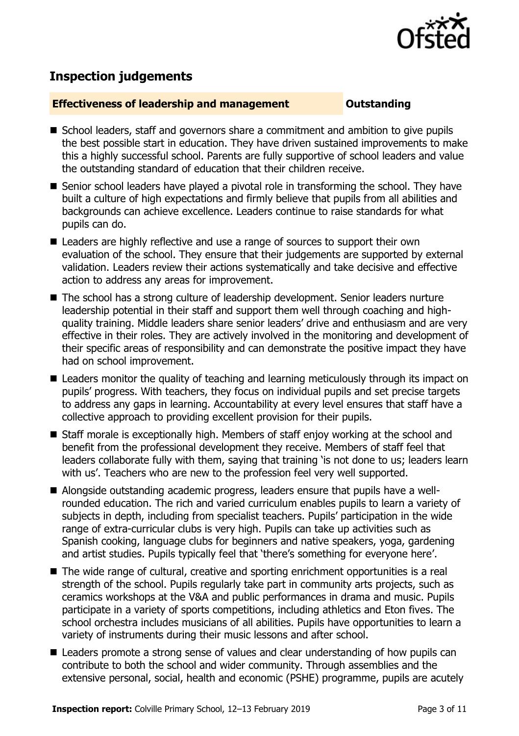

# **Inspection judgements**

#### **Effectiveness of leadership and management Constanding**

- School leaders, staff and governors share a commitment and ambition to give pupils the best possible start in education. They have driven sustained improvements to make this a highly successful school. Parents are fully supportive of school leaders and value the outstanding standard of education that their children receive.
- Senior school leaders have played a pivotal role in transforming the school. They have built a culture of high expectations and firmly believe that pupils from all abilities and backgrounds can achieve excellence. Leaders continue to raise standards for what pupils can do.
- Leaders are highly reflective and use a range of sources to support their own evaluation of the school. They ensure that their judgements are supported by external validation. Leaders review their actions systematically and take decisive and effective action to address any areas for improvement.
- The school has a strong culture of leadership development. Senior leaders nurture leadership potential in their staff and support them well through coaching and highquality training. Middle leaders share senior leaders' drive and enthusiasm and are very effective in their roles. They are actively involved in the monitoring and development of their specific areas of responsibility and can demonstrate the positive impact they have had on school improvement.
- Leaders monitor the quality of teaching and learning meticulously through its impact on pupils' progress. With teachers, they focus on individual pupils and set precise targets to address any gaps in learning. Accountability at every level ensures that staff have a collective approach to providing excellent provision for their pupils.
- Staff morale is exceptionally high. Members of staff enjoy working at the school and benefit from the professional development they receive. Members of staff feel that leaders collaborate fully with them, saying that training 'is not done to us; leaders learn with us'. Teachers who are new to the profession feel very well supported.
- Alongside outstanding academic progress, leaders ensure that pupils have a wellrounded education. The rich and varied curriculum enables pupils to learn a variety of subjects in depth, including from specialist teachers. Pupils' participation in the wide range of extra-curricular clubs is very high. Pupils can take up activities such as Spanish cooking, language clubs for beginners and native speakers, yoga, gardening and artist studies. Pupils typically feel that 'there's something for everyone here'.
- The wide range of cultural, creative and sporting enrichment opportunities is a real strength of the school. Pupils regularly take part in community arts projects, such as ceramics workshops at the V&A and public performances in drama and music. Pupils participate in a variety of sports competitions, including athletics and Eton fives. The school orchestra includes musicians of all abilities. Pupils have opportunities to learn a variety of instruments during their music lessons and after school.
- Leaders promote a strong sense of values and clear understanding of how pupils can contribute to both the school and wider community. Through assemblies and the extensive personal, social, health and economic (PSHE) programme, pupils are acutely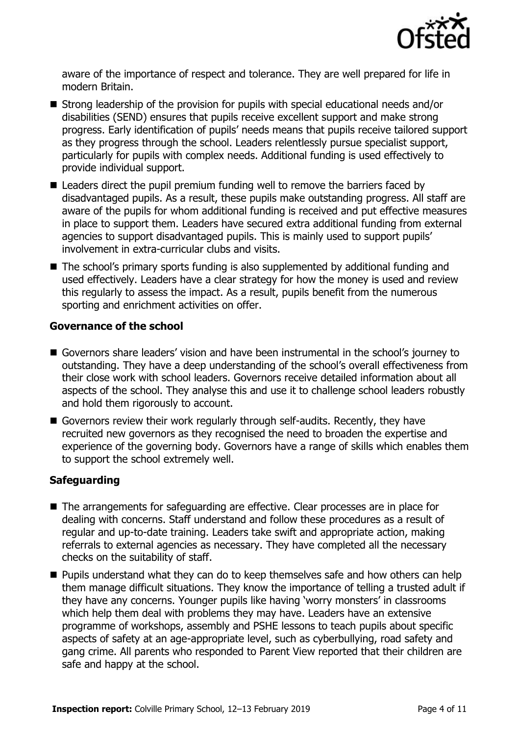

aware of the importance of respect and tolerance. They are well prepared for life in modern Britain.

- Strong leadership of the provision for pupils with special educational needs and/or disabilities (SEND) ensures that pupils receive excellent support and make strong progress. Early identification of pupils' needs means that pupils receive tailored support as they progress through the school. Leaders relentlessly pursue specialist support, particularly for pupils with complex needs. Additional funding is used effectively to provide individual support.
- Leaders direct the pupil premium funding well to remove the barriers faced by disadvantaged pupils. As a result, these pupils make outstanding progress. All staff are aware of the pupils for whom additional funding is received and put effective measures in place to support them. Leaders have secured extra additional funding from external agencies to support disadvantaged pupils. This is mainly used to support pupils' involvement in extra-curricular clubs and visits.
- The school's primary sports funding is also supplemented by additional funding and used effectively. Leaders have a clear strategy for how the money is used and review this regularly to assess the impact. As a result, pupils benefit from the numerous sporting and enrichment activities on offer.

#### **Governance of the school**

- Governors share leaders' vision and have been instrumental in the school's journey to outstanding. They have a deep understanding of the school's overall effectiveness from their close work with school leaders. Governors receive detailed information about all aspects of the school. They analyse this and use it to challenge school leaders robustly and hold them rigorously to account.
- Governors review their work regularly through self-audits. Recently, they have recruited new governors as they recognised the need to broaden the expertise and experience of the governing body. Governors have a range of skills which enables them to support the school extremely well.

#### **Safeguarding**

- The arrangements for safeguarding are effective. Clear processes are in place for dealing with concerns. Staff understand and follow these procedures as a result of regular and up-to-date training. Leaders take swift and appropriate action, making referrals to external agencies as necessary. They have completed all the necessary checks on the suitability of staff.
- **Pupils understand what they can do to keep themselves safe and how others can help** them manage difficult situations. They know the importance of telling a trusted adult if they have any concerns. Younger pupils like having 'worry monsters' in classrooms which help them deal with problems they may have. Leaders have an extensive programme of workshops, assembly and PSHE lessons to teach pupils about specific aspects of safety at an age-appropriate level, such as cyberbullying, road safety and gang crime. All parents who responded to Parent View reported that their children are safe and happy at the school.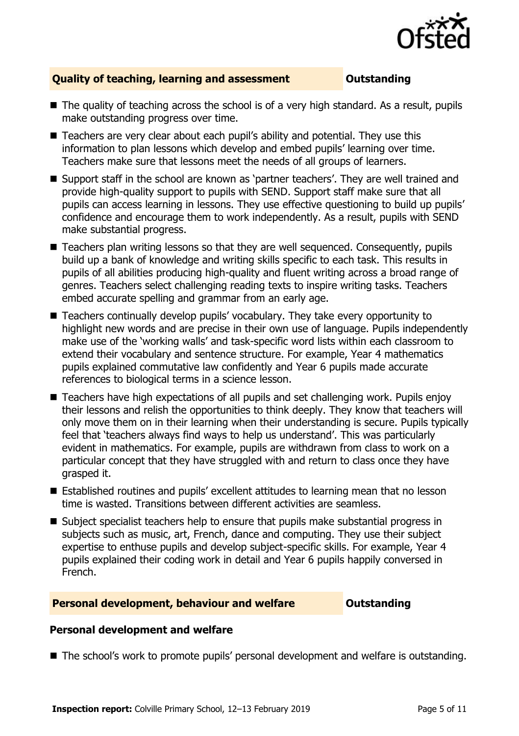

### **Quality of teaching, learning and assessment Outstanding**

- The quality of teaching across the school is of a very high standard. As a result, pupils make outstanding progress over time.
- Teachers are very clear about each pupil's ability and potential. They use this information to plan lessons which develop and embed pupils' learning over time. Teachers make sure that lessons meet the needs of all groups of learners.
- Support staff in the school are known as 'partner teachers'. They are well trained and provide high-quality support to pupils with SEND. Support staff make sure that all pupils can access learning in lessons. They use effective questioning to build up pupils' confidence and encourage them to work independently. As a result, pupils with SEND make substantial progress.
- Teachers plan writing lessons so that they are well sequenced. Consequently, pupils build up a bank of knowledge and writing skills specific to each task. This results in pupils of all abilities producing high-quality and fluent writing across a broad range of genres. Teachers select challenging reading texts to inspire writing tasks. Teachers embed accurate spelling and grammar from an early age.
- Teachers continually develop pupils' vocabulary. They take every opportunity to highlight new words and are precise in their own use of language. Pupils independently make use of the 'working walls' and task-specific word lists within each classroom to extend their vocabulary and sentence structure. For example, Year 4 mathematics pupils explained commutative law confidently and Year 6 pupils made accurate references to biological terms in a science lesson.
- Teachers have high expectations of all pupils and set challenging work. Pupils enjoy their lessons and relish the opportunities to think deeply. They know that teachers will only move them on in their learning when their understanding is secure. Pupils typically feel that 'teachers always find ways to help us understand'. This was particularly evident in mathematics. For example, pupils are withdrawn from class to work on a particular concept that they have struggled with and return to class once they have grasped it.
- Established routines and pupils' excellent attitudes to learning mean that no lesson time is wasted. Transitions between different activities are seamless.
- Subject specialist teachers help to ensure that pupils make substantial progress in subjects such as music, art, French, dance and computing. They use their subject expertise to enthuse pupils and develop subject-specific skills. For example, Year 4 pupils explained their coding work in detail and Year 6 pupils happily conversed in French.

#### **Personal development, behaviour and welfare <b>COUTS** Outstanding

#### **Personal development and welfare**

■ The school's work to promote pupils' personal development and welfare is outstanding.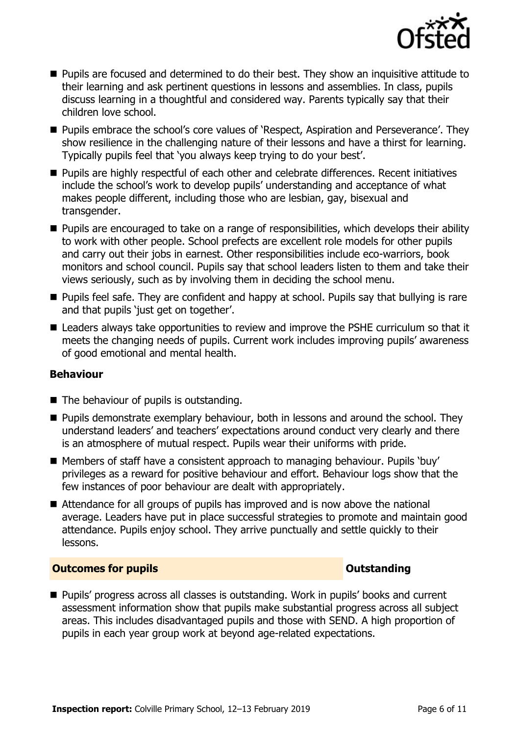

- **Pupils are focused and determined to do their best. They show an inquisitive attitude to** their learning and ask pertinent questions in lessons and assemblies. In class, pupils discuss learning in a thoughtful and considered way. Parents typically say that their children love school.
- **Pupils embrace the school's core values of 'Respect, Aspiration and Perseverance'. They** show resilience in the challenging nature of their lessons and have a thirst for learning. Typically pupils feel that 'you always keep trying to do your best'.
- Pupils are highly respectful of each other and celebrate differences. Recent initiatives include the school's work to develop pupils' understanding and acceptance of what makes people different, including those who are lesbian, gay, bisexual and transgender.
- **Pupils are encouraged to take on a range of responsibilities, which develops their ability** to work with other people. School prefects are excellent role models for other pupils and carry out their jobs in earnest. Other responsibilities include eco-warriors, book monitors and school council. Pupils say that school leaders listen to them and take their views seriously, such as by involving them in deciding the school menu.
- **Pupils feel safe. They are confident and happy at school. Pupils say that bullying is rare** and that pupils 'just get on together'.
- Leaders always take opportunities to review and improve the PSHE curriculum so that it meets the changing needs of pupils. Current work includes improving pupils' awareness of good emotional and mental health.

### **Behaviour**

- The behaviour of pupils is outstanding.
- **Pupils demonstrate exemplary behaviour, both in lessons and around the school. They** understand leaders' and teachers' expectations around conduct very clearly and there is an atmosphere of mutual respect. Pupils wear their uniforms with pride.
- Members of staff have a consistent approach to managing behaviour. Pupils 'buy' privileges as a reward for positive behaviour and effort. Behaviour logs show that the few instances of poor behaviour are dealt with appropriately.
- Attendance for all groups of pupils has improved and is now above the national average. Leaders have put in place successful strategies to promote and maintain good attendance. Pupils enjoy school. They arrive punctually and settle quickly to their lessons.

### **Outcomes for pupils Outstanding**

■ Pupils' progress across all classes is outstanding. Work in pupils' books and current assessment information show that pupils make substantial progress across all subject areas. This includes disadvantaged pupils and those with SEND. A high proportion of pupils in each year group work at beyond age-related expectations.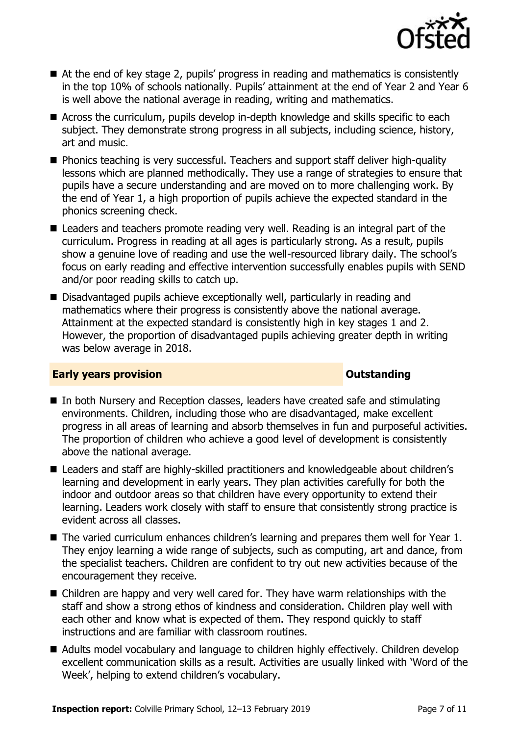

- At the end of key stage 2, pupils' progress in reading and mathematics is consistently in the top 10% of schools nationally. Pupils' attainment at the end of Year 2 and Year 6 is well above the national average in reading, writing and mathematics.
- Across the curriculum, pupils develop in-depth knowledge and skills specific to each subject. They demonstrate strong progress in all subjects, including science, history, art and music.
- Phonics teaching is very successful. Teachers and support staff deliver high-quality lessons which are planned methodically. They use a range of strategies to ensure that pupils have a secure understanding and are moved on to more challenging work. By the end of Year 1, a high proportion of pupils achieve the expected standard in the phonics screening check.
- Leaders and teachers promote reading very well. Reading is an integral part of the curriculum. Progress in reading at all ages is particularly strong. As a result, pupils show a genuine love of reading and use the well-resourced library daily. The school's focus on early reading and effective intervention successfully enables pupils with SEND and/or poor reading skills to catch up.
- Disadvantaged pupils achieve exceptionally well, particularly in reading and mathematics where their progress is consistently above the national average. Attainment at the expected standard is consistently high in key stages 1 and 2. However, the proportion of disadvantaged pupils achieving greater depth in writing was below average in 2018.

### **Early years provision CONSTANDING TO A RESEARCH CONSTANDING TO A RESEARCH CONSTANDING TO A RESEARCH CONSTANDING TO A RESEARCH CONSTANDING TO A RESEARCH CONSTANDING TO A RESEARCH CONSTANDING TO A RESEARCH CONSTANDING TO**

- In both Nursery and Reception classes, leaders have created safe and stimulating environments. Children, including those who are disadvantaged, make excellent progress in all areas of learning and absorb themselves in fun and purposeful activities. The proportion of children who achieve a good level of development is consistently above the national average.
- Leaders and staff are highly-skilled practitioners and knowledgeable about children's learning and development in early years. They plan activities carefully for both the indoor and outdoor areas so that children have every opportunity to extend their learning. Leaders work closely with staff to ensure that consistently strong practice is evident across all classes.
- The varied curriculum enhances children's learning and prepares them well for Year 1. They enjoy learning a wide range of subjects, such as computing, art and dance, from the specialist teachers. Children are confident to try out new activities because of the encouragement they receive.
- Children are happy and very well cared for. They have warm relationships with the staff and show a strong ethos of kindness and consideration. Children play well with each other and know what is expected of them. They respond quickly to staff instructions and are familiar with classroom routines.
- Adults model vocabulary and language to children highly effectively. Children develop excellent communication skills as a result. Activities are usually linked with 'Word of the Week', helping to extend children's vocabulary.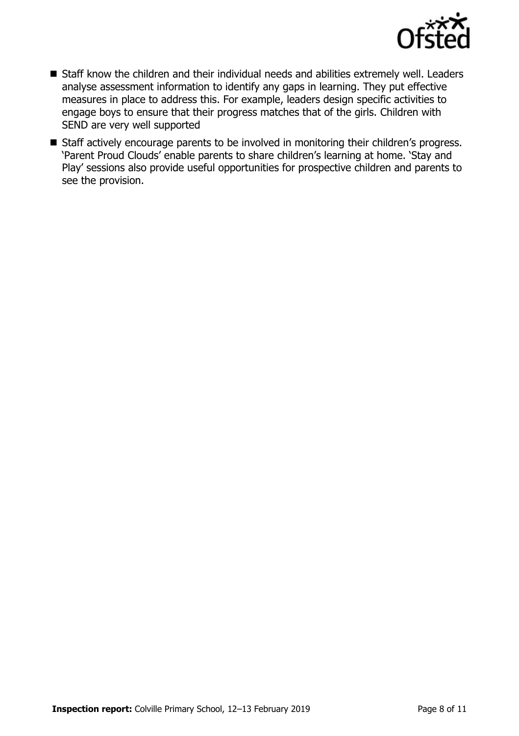

- Staff know the children and their individual needs and abilities extremely well. Leaders analyse assessment information to identify any gaps in learning. They put effective measures in place to address this. For example, leaders design specific activities to engage boys to ensure that their progress matches that of the girls. Children with SEND are very well supported
- Staff actively encourage parents to be involved in monitoring their children's progress. 'Parent Proud Clouds' enable parents to share children's learning at home. 'Stay and Play' sessions also provide useful opportunities for prospective children and parents to see the provision.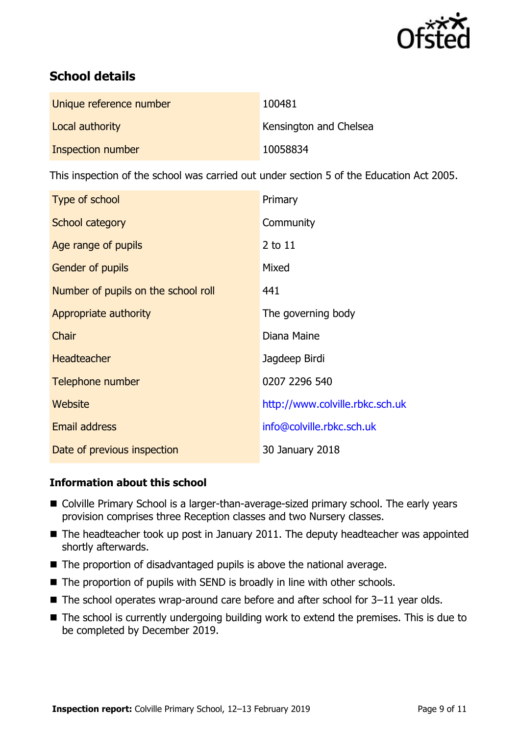

# **School details**

| Unique reference number | 100481                 |
|-------------------------|------------------------|
| Local authority         | Kensington and Chelsea |
| Inspection number       | 10058834               |

This inspection of the school was carried out under section 5 of the Education Act 2005.

| Type of school                      | Primary                         |
|-------------------------------------|---------------------------------|
| School category                     | Community                       |
| Age range of pupils                 | $2$ to $11$                     |
| <b>Gender of pupils</b>             | Mixed                           |
| Number of pupils on the school roll | 441                             |
| Appropriate authority               | The governing body              |
| Chair                               | Diana Maine                     |
| <b>Headteacher</b>                  | Jagdeep Birdi                   |
| Telephone number                    | 0207 2296 540                   |
| Website                             | http://www.colville.rbkc.sch.uk |
| <b>Email address</b>                | info@colville.rbkc.sch.uk       |
| Date of previous inspection         | 30 January 2018                 |

### **Information about this school**

- Colville Primary School is a larger-than-average-sized primary school. The early years provision comprises three Reception classes and two Nursery classes.
- $\blacksquare$  The headteacher took up post in January 2011. The deputy headteacher was appointed shortly afterwards.
- The proportion of disadvantaged pupils is above the national average.
- The proportion of pupils with SEND is broadly in line with other schools.
- $\blacksquare$  The school operates wrap-around care before and after school for 3-11 year olds.
- The school is currently undergoing building work to extend the premises. This is due to be completed by December 2019.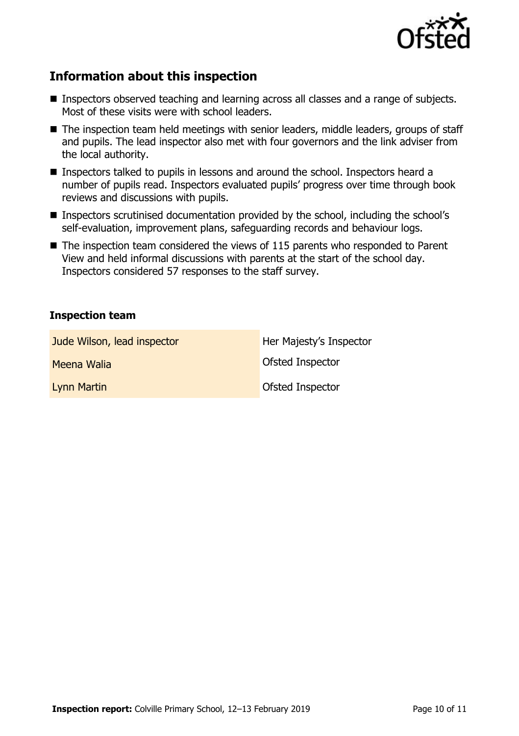

# **Information about this inspection**

- **Inspectors observed teaching and learning across all classes and a range of subjects.** Most of these visits were with school leaders.
- The inspection team held meetings with senior leaders, middle leaders, groups of staff and pupils. The lead inspector also met with four governors and the link adviser from the local authority.
- Inspectors talked to pupils in lessons and around the school. Inspectors heard a number of pupils read. Inspectors evaluated pupils' progress over time through book reviews and discussions with pupils.
- Inspectors scrutinised documentation provided by the school, including the school's self-evaluation, improvement plans, safeguarding records and behaviour logs.
- $\blacksquare$  The inspection team considered the views of 115 parents who responded to Parent View and held informal discussions with parents at the start of the school day. Inspectors considered 57 responses to the staff survey.

#### **Inspection team**

| Jude Wilson, lead inspector | Her Majesty's Inspector |
|-----------------------------|-------------------------|
| Meena Walia                 | Ofsted Inspector        |
| Lynn Martin                 | Ofsted Inspector        |